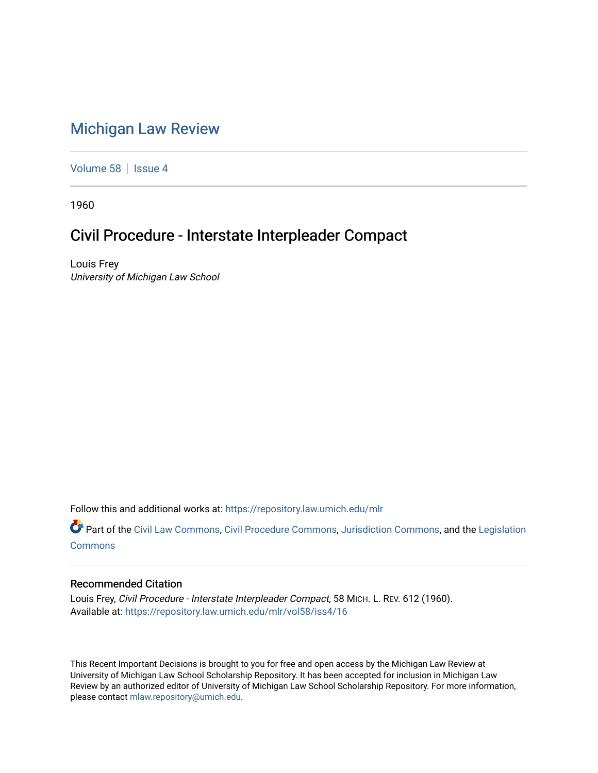## [Michigan Law Review](https://repository.law.umich.edu/mlr)

[Volume 58](https://repository.law.umich.edu/mlr/vol58) | [Issue 4](https://repository.law.umich.edu/mlr/vol58/iss4)

1960

## Civil Procedure - Interstate Interpleader Compact

Louis Frey University of Michigan Law School

Follow this and additional works at: [https://repository.law.umich.edu/mlr](https://repository.law.umich.edu/mlr?utm_source=repository.law.umich.edu%2Fmlr%2Fvol58%2Fiss4%2F16&utm_medium=PDF&utm_campaign=PDFCoverPages) 

Part of the [Civil Law Commons](http://network.bepress.com/hgg/discipline/835?utm_source=repository.law.umich.edu%2Fmlr%2Fvol58%2Fiss4%2F16&utm_medium=PDF&utm_campaign=PDFCoverPages), [Civil Procedure Commons,](http://network.bepress.com/hgg/discipline/584?utm_source=repository.law.umich.edu%2Fmlr%2Fvol58%2Fiss4%2F16&utm_medium=PDF&utm_campaign=PDFCoverPages) [Jurisdiction Commons](http://network.bepress.com/hgg/discipline/850?utm_source=repository.law.umich.edu%2Fmlr%2Fvol58%2Fiss4%2F16&utm_medium=PDF&utm_campaign=PDFCoverPages), and the [Legislation](http://network.bepress.com/hgg/discipline/859?utm_source=repository.law.umich.edu%2Fmlr%2Fvol58%2Fiss4%2F16&utm_medium=PDF&utm_campaign=PDFCoverPages)  [Commons](http://network.bepress.com/hgg/discipline/859?utm_source=repository.law.umich.edu%2Fmlr%2Fvol58%2Fiss4%2F16&utm_medium=PDF&utm_campaign=PDFCoverPages)

## Recommended Citation

Louis Frey, Civil Procedure - Interstate Interpleader Compact, 58 MICH. L. REV. 612 (1960). Available at: [https://repository.law.umich.edu/mlr/vol58/iss4/16](https://repository.law.umich.edu/mlr/vol58/iss4/16?utm_source=repository.law.umich.edu%2Fmlr%2Fvol58%2Fiss4%2F16&utm_medium=PDF&utm_campaign=PDFCoverPages) 

This Recent Important Decisions is brought to you for free and open access by the Michigan Law Review at University of Michigan Law School Scholarship Repository. It has been accepted for inclusion in Michigan Law Review by an authorized editor of University of Michigan Law School Scholarship Repository. For more information, please contact [mlaw.repository@umich.edu.](mailto:mlaw.repository@umich.edu)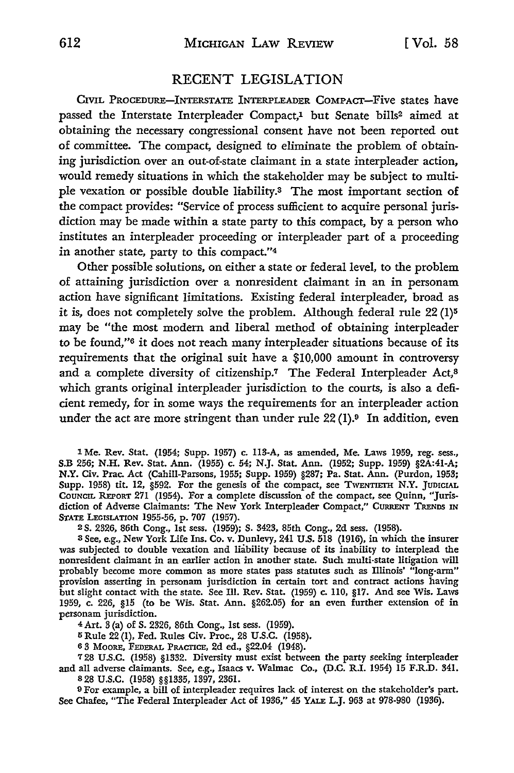## RECENT LEGISLATION

CIVIL PROCEDURE-INTERSTATE INTERPLEADER COMPACT-Five states have passed the Interstate Interpleader Compact.<sup>1</sup> but Senate bills<sup>2</sup> aimed at obtaining the necessary congressional consent have not been reported out of committee. The compact, designed to eliminate the problem of obtaining jurisdiction over an out-of-state claimant in a state interpleader action, would remedy situations in which the stakeholder may be subject to multiple vexation or possible double liability.3 The most important section of the compact provides: "Service of process sufficient to acquire personal jurisdiction may be made within a state party to this compact, by a person who institutes an interpleader proceeding or interpleader part of a proceeding in another state, party to this compact."4

Other possible solutions, on either a state or federal level, to the problem of attaining jurisdiction over a nonresident claimant in an in personam action have significant limitations. Existing federal interpleader, broad as it is, does not completely solve the problem. Although federal rule 22 (1)<sup>5</sup> may be "the most modem and liberal method of obtaining interpleader to be found,"6 it does not reach many interpleader situations because of its requirements that the original suit have a \$10,000 amount in controversy and a complete diversity of citizenship.7 The Federal Interpleader Act,<sup>8</sup> which grants original interpleader jurisdiction to the courts, is also a deficient remedy, for in some ways the requirements for an interpleader action under the act are more stringent than under rule  $22(1)$ .<sup>9</sup> In addition, even

1 Me. Rev. Stat. (1954; Supp. 1957) c. 113-A, as amended, Me. Laws 1959, reg. sess., S.B 256; N.H. Rev. Stat. Ann. (1955) c. 54; N.J. Stat. Ann. (1952; Supp. 1959) §2A:41-A; **N.Y.** Civ. Prac. Act (Cahill-Parsons, 1955; Supp. 1959) §287; Pa. Stat. Ann. (Purdon, 1953; Supp. 1958) tit. 12, §592. For the genesis of the compact, see TWENTIETH N.Y. JUDICIAL CouNCIL REPORT 271 (1954). For a complete discussion of the compact, see Quinn, "Jurisdiction of Adverse Claimants: The New York Interpleader Compact," CURRENT TRENDS IN STATE LEGISLATION 1955-56, p. 707 (1957).

<sup>2</sup>S. 2326, 86th Cong., 1st sess. (1959); S. 3423, 85th Cong., 2d sess. (1958).

<sup>3</sup>See, e.g., New York Life Ins. Co. v. Dunlevy, 241 U.S. 518 (1916), in which the insurer was subjected to double vexation and liability because of its inability to interplead the nonresident claimant in an earlier action in another state. Such multi-state litigation will probably become more common as more states pass statutes such as Illinois' "long-arm" provision asserting in personam jurisdiction in certain tort and contract actions having but slight contact with the state. See Ill. Rev. Stat. (1959) c. 110, §17. And see Wis. Laws 1959, c. 226, §15 (to be Wis. Stat. Ann. §262.05) for an even further extension of in personam jurisdiction.

4 Art. 3 (a) of S. 2326, 86th Cong., 1st sess. (1959).

5 Rule 22 (1), Fed. Rules Civ. Proc., 28 U.S.C. (1958).

<sup>6</sup>3 MOORE, FEDERAL PRACTICE, 2d ed., §22.04 (1948).

7 28 U .S.C. (1958) §1332. Diversity must exist between the party seeking interpleader and all adverse claimants. See, e.g., Isaacs v. Walmac Co., (D.C. R.I. 1954) 15 F.R.D. 341. <sup>8</sup>28 u.s.c. (1958) §§1335, 1397, 2361.

9 For example, a bill of interpleader requires lack of interest on the stakeholder's part. See Chafee, "The Federal Interpleader Act of 1936," 45 YALE L.J. 963 at 978-980 (1936).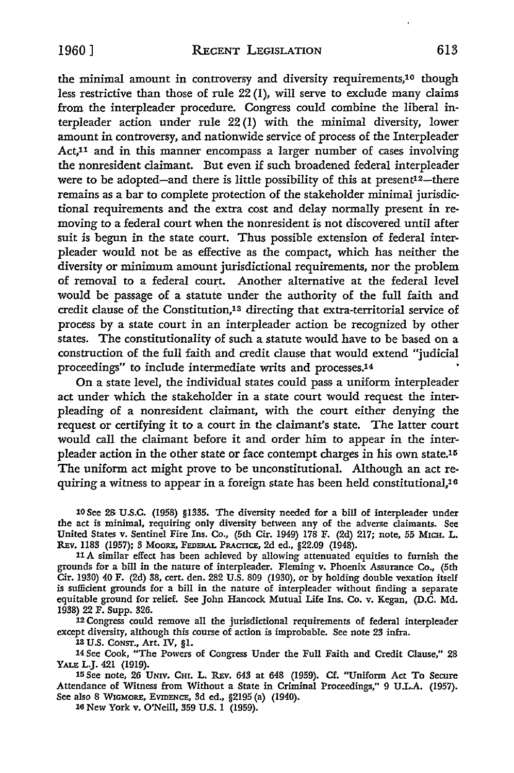the minimal amount in controversy and diversity requirements,10 though less restrictive than those of rule  $22(1)$ , will serve to exclude many claims from the interpleader procedure. Congress could combine the liberal interpleader action under rule 22 (I) with the minimal diversity, lower amount in controversy, and nationwide service of process of the Interpleader Act,11 and in this manner encompass a larger number of cases involving the nonresident claimant. But even if such broadened federal interpleader were to be adopted-and there is little possibility of this at present<sup>12</sup>-there remains as a bar to complete protection of the stakeholder minimal jurisdictional requirements and the extra cost and delay normally present in removing to a federal court when the nonresident is not discovered until after suit is begun in the state court. Thus possible extension of federal interpleader would not be as effective as the compact, which has neither the diversity or minimum amount jurisdictional requirements, nor the problem of removal to a federal court. Another alternative at the federal level would be passage of a statute under the authority of the full faith and credit clause of the Constitution,13 directing that extra-territorial service of process by a state court in an interpleader action be recognized by other states. The constitutionality of such a statute would have to be based on a construction of the full faith and credit clause that would extend "judicial proceedings" to include intermediate writs and processes.14 •

**On** a state level, the individual states could pass a uniform interpleader act under which the stakeholder in a state court would request the interpleading of a nonresident claimant, with the court either denying the request or certifying it to a court in the claimant's state. The latter court would call the claimant before it and order him to appear in the interpleader action in the other state or face contempt charges in his own state.<sup>15</sup> The uniform act might prove to be unconstitutional. Although an act requiring a witness to appear in a foreign state has been held constitutional,16

10 See 23 U.S.C. (1958) §1335. The diversity needed for a bill of interpleader under the act is minimal, requiring only diversity between any of the adverse claimants. See United States v. Sentinel Fire Ins. Co., (5th Cir. 1949) 178 F. (2d) 217; note, 55 MICH. L. REv. 1183 (1957); 3 MooRE, FEDERAL PRACTICE, 2d ed., §22.09 (1948).

11 A similar effect has been achieved by allowing attenuated equities to furnish the grounds for a bill in the nature of interpleader. Fleming v. Phoenix Assurance Co., (5th Cir. 1930) 40 F. (2d) 38, cert. den. 282 U.S. 809 (1930), or by holding double vexation itseH is sufficient grounds for a bill in the nature of interpleader without finding a separate equitable ground for relief. See John Hancock Mutual Life Ins. Co. v. Kegan, (D.C. Md. 1938) 22 F. Supp. 326.

12 Congress could remove all the jurisdictional requirements of federal interpleader except diversity, although this course of action is improbable. See note 23 infra.

13 U.S. CONST., Art. IV, §1.

14 See Cook, "The Powers of Congress Under the Full Faith and Credit Clause," 28 YALE L.J. 421 (1919).

15 See note, 26 UNIV. CHr. L. REv. 643 at 648 (1959). Cf. "Uniform Act To Secure Attendance of Witness from Without a State in Criminal Proceedings," 9 UL.A. (1957). See also 8 WIGMORE, EVIDENCE, 3d ed., §2195 (a) (1940).

16 New York v. O'Neill, 359 U.S. 1 (1959).